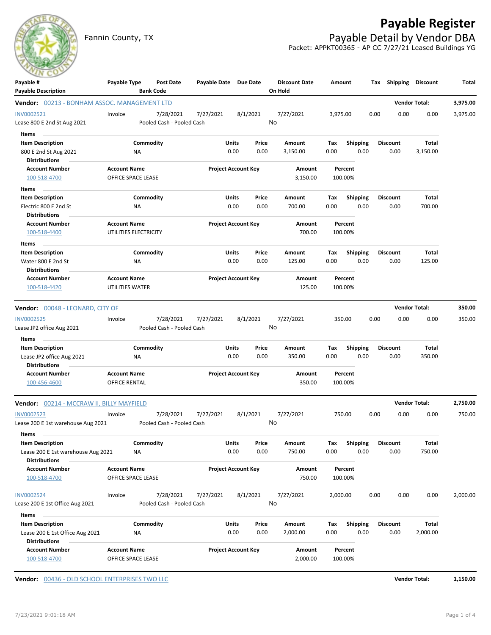## **Payable Register**

Fannin County, TX **Payable Detail by Vendor DBA** Packet: APPKT00365 - AP CC 7/27/21 Leased Buildings YG

| Payable #<br><b>Payable Description</b>                                            | Payable Type                                 | Post Date<br><b>Bank Code</b>          | Payable Date Due Date |                            | <b>Discount Date</b><br>On Hold | Amount             |                         |                 |      | Tax Shipping Discount | Total    |
|------------------------------------------------------------------------------------|----------------------------------------------|----------------------------------------|-----------------------|----------------------------|---------------------------------|--------------------|-------------------------|-----------------|------|-----------------------|----------|
| <b>Vendor:</b> 00213 - BONHAM ASSOC. MANAGEMENT LTD                                |                                              |                                        |                       |                            |                                 |                    |                         |                 |      | <b>Vendor Total:</b>  | 3,975.00 |
| INV0002521<br>Lease 800 E 2nd St Aug 2021                                          | Invoice                                      | 7/28/2021<br>Pooled Cash - Pooled Cash | 7/27/2021             | 8/1/2021                   | 7/27/2021<br>No                 | 3,975.00           |                         | 0.00            | 0.00 | 0.00                  | 3,975.00 |
| Items<br><b>Item Description</b>                                                   |                                              | Commodity                              | Units                 | Price                      | Amount                          | Tax                | <b>Shipping</b>         | <b>Discount</b> |      | Total                 |          |
| 800 E 2nd St Aug 2021                                                              | ΝA                                           |                                        |                       | 0.00<br>0.00               | 3,150.00                        | 0.00               | 0.00                    |                 | 0.00 | 3,150.00              |          |
| <b>Distributions</b>                                                               |                                              |                                        |                       |                            |                                 |                    |                         |                 |      |                       |          |
| <b>Account Number</b><br>100-518-4700                                              | <b>Account Name</b><br>OFFICE SPACE LEASE    |                                        |                       | <b>Project Account Key</b> | Amount<br>3,150.00              | Percent<br>100.00% |                         |                 |      |                       |          |
| Items                                                                              |                                              |                                        |                       |                            |                                 |                    |                         |                 |      |                       |          |
| <b>Item Description</b>                                                            |                                              | Commodity                              | Units                 | Price                      | Amount                          | Тах                | Shipping                | <b>Discount</b> |      | Total                 |          |
| Electric 800 E 2nd St<br>Distributions                                             | ΝA                                           |                                        |                       | 0.00<br>0.00               | 700.00                          | 0.00               | 0.00                    |                 | 0.00 | 700.00                |          |
| <b>Account Number</b><br>100-518-4400                                              | <b>Account Name</b><br>UTILITIES ELECTRICITY |                                        |                       | <b>Project Account Key</b> | Amount<br>700.00                | Percent<br>100.00% |                         |                 |      |                       |          |
| Items                                                                              |                                              |                                        |                       |                            |                                 |                    |                         |                 |      |                       |          |
| <b>Item Description</b><br>Water 800 E 2nd St                                      | NA                                           | Commodity                              | Units                 | Price<br>0.00<br>0.00      | Amount<br>125.00                | Tax<br>0.00        | <b>Shipping</b><br>0.00 | <b>Discount</b> | 0.00 | Total<br>125.00       |          |
| <b>Distributions</b>                                                               |                                              |                                        |                       |                            |                                 |                    |                         |                 |      |                       |          |
| <b>Account Number</b><br>100-518-4420                                              | <b>Account Name</b><br>UTILITIES WATER       |                                        |                       | <b>Project Account Key</b> | Amount<br>125.00                | Percent<br>100.00% |                         |                 |      |                       |          |
| Vendor: 00048 - LEONARD, CITY OF                                                   |                                              |                                        |                       |                            |                                 |                    |                         |                 |      | <b>Vendor Total:</b>  | 350.00   |
| <b>INV0002525</b>                                                                  | Invoice                                      | 7/28/2021                              | 7/27/2021             | 8/1/2021                   | 7/27/2021                       | 350.00             |                         | 0.00            | 0.00 | 0.00                  | 350.00   |
| Lease JP2 office Aug 2021                                                          |                                              | Pooled Cash - Pooled Cash              |                       |                            | No                              |                    |                         |                 |      |                       |          |
| Items                                                                              |                                              |                                        |                       |                            |                                 |                    |                         |                 |      |                       |          |
| <b>Item Description</b>                                                            |                                              | Commodity                              | Units                 | Price                      | Amount                          | Tax                | <b>Shipping</b>         | <b>Discount</b> |      | Total                 |          |
| Lease JP2 office Aug 2021<br><b>Distributions</b>                                  | ΝA                                           |                                        |                       | 0.00<br>0.00               | 350.00                          | 0.00               | 0.00                    |                 | 0.00 | 350.00                |          |
| <b>Account Number</b><br>100-456-4600                                              | <b>Account Name</b><br>OFFICE RENTAL         |                                        |                       | <b>Project Account Key</b> | Amount<br>350.00                | Percent<br>100.00% |                         |                 |      |                       |          |
| <b>Vendor:</b> 00214 - MCCRAW II, BILLY MAYFIELD                                   |                                              |                                        |                       |                            |                                 |                    |                         |                 |      | <b>Vendor Total:</b>  | 2,750.00 |
| <b>INV0002523</b><br>Lease 200 E 1st warehouse Aug 2021                            | Invoice                                      | 7/28/2021<br>Pooled Cash - Pooled Cash | 7/27/2021             | 8/1/2021                   | 7/27/2021<br>No                 | 750.00             |                         | 0.00            | 0.00 | 0.00                  | 750.00   |
| items<br><b>Item Description</b>                                                   |                                              |                                        |                       |                            |                                 |                    |                         |                 |      |                       |          |
| Lease 200 E 1st warehouse Aug 2021<br><b>Distributions</b>                         | NA                                           | Commodity                              | Units                 | Price<br>0.00<br>0.00      | Amount<br>750.00                | Тах<br>0.00        | Shipping<br>0.00        | <b>Discount</b> | 0.00 | Total<br>750.00       |          |
| <b>Account Number</b><br>100-518-4700                                              | <b>Account Name</b><br>OFFICE SPACE LEASE    |                                        |                       | <b>Project Account Key</b> | Amount<br>750.00                | Percent<br>100.00% |                         |                 |      |                       |          |
|                                                                                    |                                              |                                        |                       |                            |                                 |                    |                         |                 |      |                       |          |
| INV0002524<br>Lease 200 E 1st Office Aug 2021                                      | Invoice                                      | 7/28/2021<br>Pooled Cash - Pooled Cash | 7/27/2021             | 8/1/2021                   | 7/27/2021<br>No                 | 2,000.00           |                         | 0.00            | 0.00 | 0.00                  | 2,000.00 |
| Items                                                                              |                                              |                                        |                       |                            |                                 |                    |                         |                 |      |                       |          |
| <b>Item Description</b><br>Lease 200 E 1st Office Aug 2021<br><b>Distributions</b> | NA                                           | Commodity                              | Units                 | Price<br>0.00<br>0.00      | Amount<br>2,000.00              | Tax<br>0.00        | <b>Shipping</b><br>0.00 | <b>Discount</b> | 0.00 | Total<br>2,000.00     |          |
| <b>Account Number</b><br>100-518-4700                                              | <b>Account Name</b><br>OFFICE SPACE LEASE    |                                        |                       | <b>Project Account Key</b> | Amount<br>2,000.00              | Percent<br>100.00% |                         |                 |      |                       |          |

**Vendor:** 00436 - OLD SCHOOL ENTERPRISES TWO LLC **Vendor Total: 1,150.00**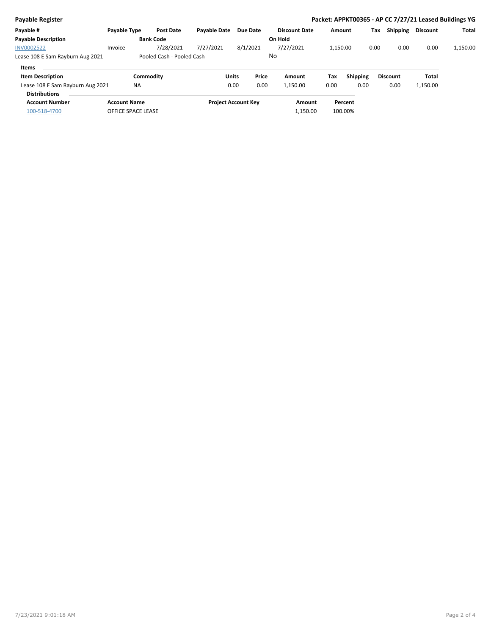| Payable Register                 |                     |                           |                     |                            |                      |          |                 |                 | Packet: APPKT00365 - AP CC 7/27/21 Leased Buildings YG |          |
|----------------------------------|---------------------|---------------------------|---------------------|----------------------------|----------------------|----------|-----------------|-----------------|--------------------------------------------------------|----------|
| Payable #                        | <b>Payable Type</b> | <b>Post Date</b>          | <b>Pavable Date</b> | <b>Due Date</b>            | <b>Discount Date</b> | Amount   |                 | Shipping<br>Tax | <b>Discount</b>                                        | Total    |
| <b>Payable Description</b>       |                     | <b>Bank Code</b>          |                     |                            | On Hold              |          |                 |                 |                                                        |          |
| <b>INV0002522</b>                | Invoice             | 7/28/2021                 | 7/27/2021           | 8/1/2021                   | 7/27/2021            | 1.150.00 |                 | 0.00            | 0.00<br>0.00                                           | 1,150.00 |
| Lease 108 E Sam Rayburn Aug 2021 |                     | Pooled Cash - Pooled Cash |                     |                            | No                   |          |                 |                 |                                                        |          |
| <b>Items</b>                     |                     |                           |                     |                            |                      |          |                 |                 |                                                        |          |
| <b>Item Description</b>          |                     | Commodity                 |                     | Price<br><b>Units</b>      | Amount               | Tax      | <b>Shipping</b> | <b>Discount</b> | Total                                                  |          |
| Lease 108 E Sam Rayburn Aug 2021 | <b>NA</b>           |                           |                     | 0.00<br>0.00               | 1,150.00             | 0.00     | 0.00            | 0.00            | 1,150.00                                               |          |
| <b>Distributions</b>             |                     |                           |                     |                            |                      |          |                 |                 |                                                        |          |
| <b>Account Number</b>            | <b>Account Name</b> |                           |                     | <b>Project Account Key</b> | Amount               |          | Percent         |                 |                                                        |          |
| 100-518-4700                     | OFFICE SPACE LEASE  |                           |                     |                            | 1,150.00             |          | 100.00%         |                 |                                                        |          |
|                                  |                     |                           |                     |                            |                      |          |                 |                 |                                                        |          |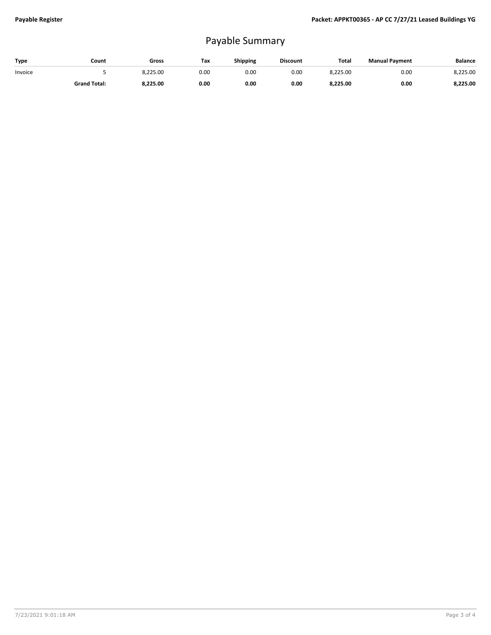## Payable Summary

| Type    | Count               | Gross    | Tax  | <b>Shipping</b> | <b>Discount</b> | <b>Total</b> | <b>Manual Payment</b> | <b>Balance</b> |
|---------|---------------------|----------|------|-----------------|-----------------|--------------|-----------------------|----------------|
| Invoice |                     | 8.225.00 | 0.00 | 0.OC            | 0.00            | 8.225.00     | 0.00                  | 8.225.00       |
|         | <b>Grand Total:</b> | 8.225.00 | 0.00 | 0.00            | 0.00            | 8,225.00     | 0.00                  | 8,225.00       |